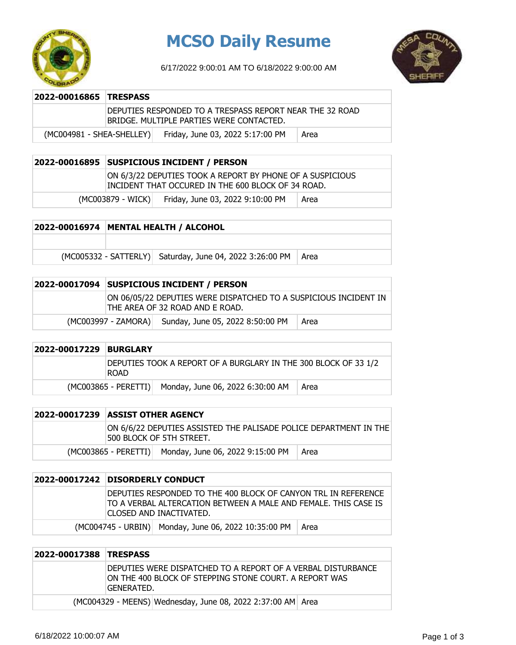

## **MCSO Daily Resume**

6/17/2022 9:00:01 AM TO 6/18/2022 9:00:00 AM



| 2022-00016865 TRESPASS      |                                                                                                      |                                  |      |
|-----------------------------|------------------------------------------------------------------------------------------------------|----------------------------------|------|
|                             | DEPUTIES RESPONDED TO A TRESPASS REPORT NEAR THE 32 ROAD<br>BRIDGE. MULTIPLE PARTIES WERE CONTACTED. |                                  |      |
| $(MCOO4981 - SHEA-SHELLEY)$ |                                                                                                      | Friday, June 03, 2022 5:17:00 PM | Area |

| 2022-00016895 SUSPICIOUS INCIDENT / PERSON                                                                      |                                  |      |
|-----------------------------------------------------------------------------------------------------------------|----------------------------------|------|
| ON 6/3/22 DEPUTIES TOOK A REPORT BY PHONE OF A SUSPICIOUS<br>INCIDENT THAT OCCURED IN THE 600 BLOCK OF 34 ROAD. |                                  |      |
| (MC003879 - WICK)                                                                                               | Friday, June 03, 2022 9:10:00 PM | Area |

| 2022-00016974   MENTAL HEALTH / ALCOHOL |                                                          |      |
|-----------------------------------------|----------------------------------------------------------|------|
|                                         |                                                          |      |
|                                         | (MC005332 - SATTERLY) Saturday, June 04, 2022 3:26:00 PM | Area |

| 2022-00017094 | <b>SUSPICIOUS INCIDENT / PERSON</b>                                                                 |                                  |      |
|---------------|-----------------------------------------------------------------------------------------------------|----------------------------------|------|
|               | ON 06/05/22 DEPUTIES WERE DISPATCHED TO A SUSPICIOUS INCIDENT IN<br>THE AREA OF 32 ROAD AND E ROAD. |                                  |      |
|               | (MC003997 - ZAMORA)                                                                                 | Sunday, June 05, 2022 8:50:00 PM | Area |

| 2022-00017229 BURGLARY |                                                                         |                                          |  |
|------------------------|-------------------------------------------------------------------------|------------------------------------------|--|
|                        | DEPUTIES TOOK A REPORT OF A BURGLARY IN THE 300 BLOCK OF 33 1/2<br>ROAD |                                          |  |
|                        | $(MCO03865 - PERETTI)$                                                  | Monday, June 06, 2022 6:30:00 AM<br>Area |  |

|  | ON 6/6/22 DEPUTIES ASSISTED THE PALISADE POLICE DEPARTMENT IN THE<br>500 BLOCK OF 5TH STREET. |                                                       |        |
|--|-----------------------------------------------------------------------------------------------|-------------------------------------------------------|--------|
|  |                                                                                               | (MC003865 - PERETTI) Monday, June 06, 2022 9:15:00 PM | ∣ Area |

| 2022-00017242 DISORDERLY CONDUCT                                                                                                                              |                                                      |      |
|---------------------------------------------------------------------------------------------------------------------------------------------------------------|------------------------------------------------------|------|
| DEPUTIES RESPONDED TO THE 400 BLOCK OF CANYON TRL IN REFERENCE<br>TO A VERBAL ALTERCATION BETWEEN A MALE AND FEMALE. THIS CASE IS<br>ICLOSED AND INACTIVATED. |                                                      |      |
|                                                                                                                                                               | (MC004745 - URBIN) Monday, June 06, 2022 10:35:00 PM | Area |

| 2022-00017388 TRESPASS |                                                                                                                                       |
|------------------------|---------------------------------------------------------------------------------------------------------------------------------------|
|                        | DEPUTIES WERE DISPATCHED TO A REPORT OF A VERBAL DISTURBANCE<br>ION THE 400 BLOCK OF STEPPING STONE COURT. A REPORT WAS<br>GENERATED. |
|                        | (MC004329 - MEENS) Wednesday, June 08, 2022 2:37:00 AM Area                                                                           |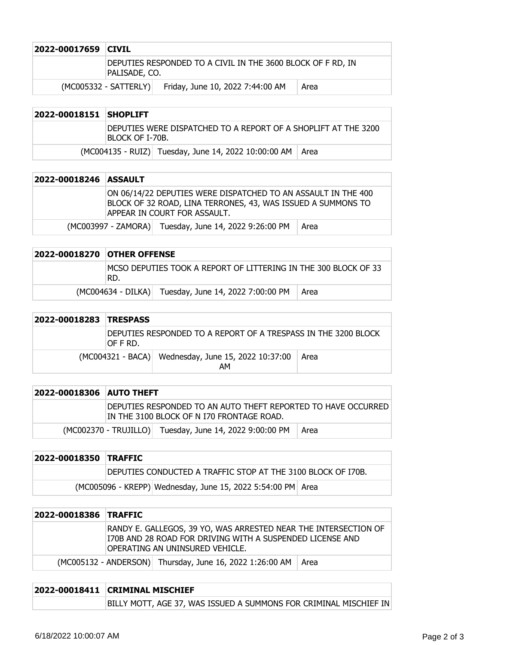| 2022-00017659 CIVIL |                                                                              |                                  |      |
|---------------------|------------------------------------------------------------------------------|----------------------------------|------|
|                     | DEPUTIES RESPONDED TO A CIVIL IN THE 3600 BLOCK OF F RD, IN<br>Palisade, co. |                                  |      |
|                     | $(MCOO5332 - SATTERLY)$                                                      | Friday, June 10, 2022 7:44:00 AM | Area |

| 2022-00018151 SHOPLIFT |                                                                                    |                                                             |  |
|------------------------|------------------------------------------------------------------------------------|-------------------------------------------------------------|--|
|                        | IDEPUTIES WERE DISPATCHED TO A REPORT OF A SHOPLIFT AT THE 3200<br>BLOCK OF I-70B. |                                                             |  |
|                        |                                                                                    | (MC004135 - RUIZ) Tuesday, June 14, 2022 10:00:00 AM   Area |  |

| 2022-00018246 ASSAULT |                                                                                                                                                                |  |  |
|-----------------------|----------------------------------------------------------------------------------------------------------------------------------------------------------------|--|--|
|                       | ION 06/14/22 DEPUTIES WERE DISPATCHED TO AN ASSAULT IN THE 400<br>BLOCK OF 32 ROAD, LINA TERRONES, 43, WAS ISSUED A SUMMONS TO<br>APPEAR IN COURT FOR ASSAULT. |  |  |
|                       | (MC003997 - ZAMORA) Tuesday, June 14, 2022 9:26:00 PM<br>Area                                                                                                  |  |  |

| 2022-00018270 OTHER OFFENSE                                              |                                                      |      |
|--------------------------------------------------------------------------|------------------------------------------------------|------|
| IMCSO DEPUTIES TOOK A REPORT OF LITTERING IN THE 300 BLOCK OF 33<br>IRD. |                                                      |      |
|                                                                          | (MC004634 - DILKA) Tuesday, June 14, 2022 7:00:00 PM | Area |

| 2022-00018283 TRESPASS |                                                                             |  |  |  |
|------------------------|-----------------------------------------------------------------------------|--|--|--|
|                        | DEPUTIES RESPONDED TO A REPORT OF A TRESPASS IN THE 3200 BLOCK<br>IOF F RD. |  |  |  |
|                        | (MC004321 - BACA) Wednesday, June 15, 2022 10:37:00<br>∣ Area<br>AM         |  |  |  |

| <b>2022-00018306 AUTO THEFT</b> |                                                                                                            |                                                         |        |
|---------------------------------|------------------------------------------------------------------------------------------------------------|---------------------------------------------------------|--------|
|                                 | DEPUTIES RESPONDED TO AN AUTO THEFT REPORTED TO HAVE OCCURRED<br>IN THE 3100 BLOCK OF N I70 FRONTAGE ROAD. |                                                         |        |
|                                 |                                                                                                            | (MC002370 - TRUJILLO) Tuesday, June 14, 2022 9:00:00 PM | l Area |

| 2022-00018350 TRAFFIC |                                                              |  |  |
|-----------------------|--------------------------------------------------------------|--|--|
|                       | DEPUTIES CONDUCTED A TRAFFIC STOP AT THE 3100 BLOCK OF I70B. |  |  |
|                       | (MC005096 - KREPP) Wednesday, June 15, 2022 5:54:00 PM Area  |  |  |

| 2022-00018386 TRAFFIC |  |                                                                                                                                                                 |  |
|-----------------------|--|-----------------------------------------------------------------------------------------------------------------------------------------------------------------|--|
|                       |  | RANDY E. GALLEGOS, 39 YO, WAS ARRESTED NEAR THE INTERSECTION OF<br>I70B AND 28 ROAD FOR DRIVING WITH A SUSPENDED LICENSE AND<br>OPERATING AN UNINSURED VEHICLE. |  |
|                       |  | (MC005132 - ANDERSON) Thursday, June 16, 2022 1:26:00 AM   Area                                                                                                 |  |

| 2022-00018411 CRIMINAL MISCHIEF                                          |  |  |
|--------------------------------------------------------------------------|--|--|
| <b>BILLY MOTT, AGE 37, WAS ISSUED A SUMMONS FOR CRIMINAL MISCHIEF IN</b> |  |  |